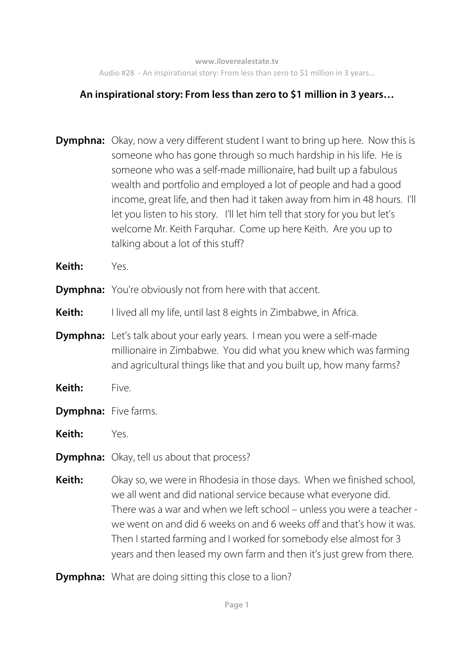## **An inspirational story: From less than zero to \$1 million in 3 years…**

- **Dymphna:** Okay, now a very different student I want to bring up here. Now this is someone who has gone through so much hardship in his life. He is someone who was a self-made millionaire, had built up a fabulous wealth and portfolio and employed a lot of people and had a good income, great life, and then had it taken away from him in 48 hours. I'll let you listen to his story. I'll let him tell that story for you but let's welcome Mr. Keith Farquhar. Come up here Keith. Are you up to talking about a lot of this stuff?
- **Keith:** Yes.
- **Dymphna:** You're obviously not from here with that accent.
- **Keith:** I lived all my life, until last 8 eights in Zimbabwe, in Africa.
- **Dymphna:** Let's talk about your early years. I mean you were a self-made millionaire in Zimbabwe. You did what you knew which was farming and agricultural things like that and you built up, how many farms?
- **Keith:** Five.
- **Dymphna:** Five farms.
- **Keith:** Yes.
- **Dymphna:** Okay, tell us about that process?
- **Keith:** Okay so, we were in Rhodesia in those days. When we finished school, we all went and did national service because what everyone did. There was a war and when we left school – unless you were a teacher we went on and did 6 weeks on and 6 weeks off and that's how it was. Then I started farming and I worked for somebody else almost for 3 years and then leased my own farm and then it's just grew from there.
- **Dymphna:** What are doing sitting this close to a lion?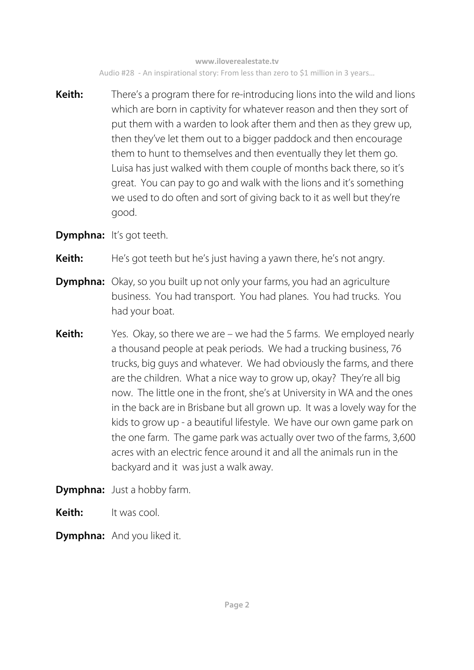**Keith:** There's a program there for re-introducing lions into the wild and lions which are born in captivity for whatever reason and then they sort of put them with a warden to look after them and then as they grew up, then they've let them out to a bigger paddock and then encourage them to hunt to themselves and then eventually they let them go. Luisa has just walked with them couple of months back there, so it's great. You can pay to go and walk with the lions and it's something we used to do often and sort of giving back to it as well but they're good.

**Dymphna:** It's got teeth.

**Keith:** He's got teeth but he's just having a yawn there, he's not angry.

- **Dymphna:** Okay, so you built up not only your farms, you had an agriculture business. You had transport. You had planes. You had trucks. You had your boat.
- **Keith:** Yes. Okay, so there we are we had the 5 farms. We employed nearly a thousand people at peak periods. We had a trucking business, 76 trucks, big guys and whatever. We had obviously the farms, and there are the children. What a nice way to grow up, okay? They're all big now. The little one in the front, she's at University in WA and the ones in the back are in Brisbane but all grown up. It was a lovely way for the kids to grow up - a beautiful lifestyle. We have our own game park on the one farm. The game park was actually over two of the farms, 3,600 acres with an electric fence around it and all the animals run in the backyard and it was just a walk away.

**Dymphna:** Just a hobby farm.

**Keith:** It was cool.

**Dymphna:** And you liked it.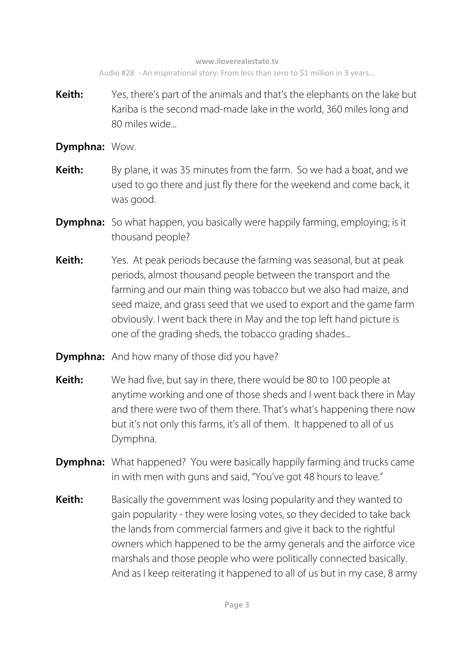- **Keith:** Yes, there's part of the animals and that's the elephants on the lake but Kariba is the second mad-made lake in the world, 360 miles long and 80 miles wide...
- **Dymphna:** Wow.
- **Keith:** By plane, it was 35 minutes from the farm. So we had a boat, and we used to go there and just fly there for the weekend and come back, it was good.
- **Dymphna:** So what happen, you basically were happily farming, employing; is it thousand people?
- **Keith:** Yes. At peak periods because the farming was seasonal, but at peak periods, almost thousand people between the transport and the farming and our main thing was tobacco but we also had maize, and seed maize, and grass seed that we used to export and the game farm obviously. I went back there in May and the top left hand picture is one of the grading sheds, the tobacco grading shades...
- **Dymphna:** And how many of those did you have?
- **Keith:** We had five, but say in there, there would be 80 to 100 people at anytime working and one of those sheds and I went back there in May and there were two of them there. That's what's happening there now but it's not only this farms, it's all of them. It happened to all of us Dymphna.
- **Dymphna:** What happened? You were basically happily farming and trucks came in with men with guns and said, "You've got 48 hours to leave."
- **Keith:** Basically the government was losing popularity and they wanted to gain popularity - they were losing votes, so they decided to take back the lands from commercial farmers and give it back to the rightful owners which happened to be the army generals and the airforce vice marshals and those people who were politically connected basically. And as I keep reiterating it happened to all of us but in my case, 8 army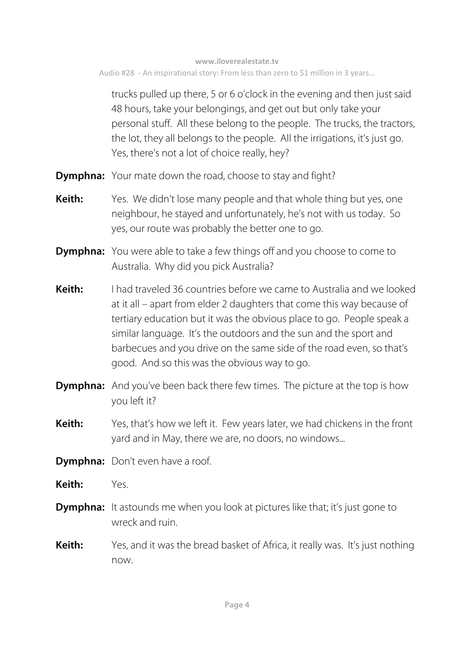trucks pulled up there, 5 or 6 o'clock in the evening and then just said 48 hours, take your belongings, and get out but only take your personal stuff. All these belong to the people. The trucks, the tractors, the lot, they all belongs to the people. All the irrigations, it's just go. Yes, there's not a lot of choice really, hey?

- **Dymphna:** Your mate down the road, choose to stay and fight?
- **Keith:** Yes. We didn't lose many people and that whole thing but yes, one neighbour, he stayed and unfortunately, he's not with us today. So yes, our route was probably the better one to go.
- **Dymphna:** You were able to take a few things off and you choose to come to Australia. Why did you pick Australia?
- **Keith:** I had traveled 36 countries before we came to Australia and we looked at it all – apart from elder 2 daughters that come this way because of tertiary education but it was the obvious place to go. People speak a similar language. It's the outdoors and the sun and the sport and barbecues and you drive on the same side of the road even, so that's good. And so this was the obvious way to go.
- **Dymphna:** And you've been back there few times. The picture at the top is how you left it?
- **Keith:** Yes, that's how we left it. Few years later, we had chickens in the front yard and in May, there we are, no doors, no windows...
- **Dymphna:** Don't even have a roof.
- **Keith:** Yes.
- **Dymphna:** It astounds me when you look at pictures like that; it's just gone to wreck and ruin.
- **Keith:** Yes, and it was the bread basket of Africa, it really was. It's just nothing now.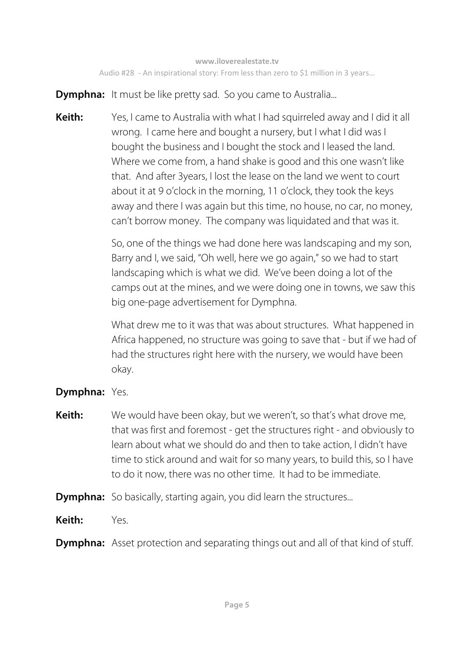**Dymphna:** It must be like pretty sad. So you came to Australia...

**Keith:** Yes, I came to Australia with what I had squirreled away and I did it all wrong. I came here and bought a nursery, but I what I did was I bought the business and I bought the stock and I leased the land. Where we come from, a hand shake is good and this one wasn't like that. And after 3years, I lost the lease on the land we went to court about it at 9 o'clock in the morning, 11 o'clock, they took the keys away and there I was again but this time, no house, no car, no money, can't borrow money. The company was liquidated and that was it.

> So, one of the things we had done here was landscaping and my son, Barry and I, we said, "Oh well, here we go again," so we had to start landscaping which is what we did. We've been doing a lot of the camps out at the mines, and we were doing one in towns, we saw this big one-page advertisement for Dymphna.

> What drew me to it was that was about structures. What happened in Africa happened, no structure was going to save that - but if we had of had the structures right here with the nursery, we would have been okay.

## **Dymphna:** Yes.

- **Keith:** We would have been okay, but we weren't, so that's what drove me, that was first and foremost - get the structures right - and obviously to learn about what we should do and then to take action, I didn't have time to stick around and wait for so many years, to build this, so I have to do it now, there was no other time. It had to be immediate.
- **Dymphna:** So basically, starting again, you did learn the structures...
- **Keith:** Yes.
- **Dymphna:** Asset protection and separating things out and all of that kind of stuff.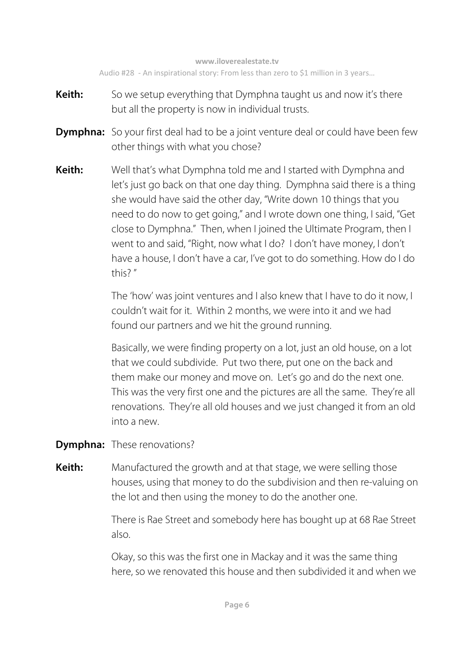- **Keith:** So we setup everything that Dymphna taught us and now it's there but all the property is now in individual trusts.
- **Dymphna:** So your first deal had to be a joint venture deal or could have been few other things with what you chose?
- **Keith:** Well that's what Dymphna told me and I started with Dymphna and let's just go back on that one day thing. Dymphna said there is a thing she would have said the other day, "Write down 10 things that you need to do now to get going," and I wrote down one thing, I said, "Get close to Dymphna." Then, when I joined the Ultimate Program, then I went to and said, "Right, now what I do? I don't have money, I don't have a house, I don't have a car, I've got to do something. How do I do this? "

The 'how' was joint ventures and I also knew that I have to do it now, I couldn't wait for it. Within 2 months, we were into it and we had found our partners and we hit the ground running.

 Basically, we were finding property on a lot, just an old house, on a lot that we could subdivide. Put two there, put one on the back and them make our money and move on. Let's go and do the next one. This was the very first one and the pictures are all the same. They're all renovations. They're all old houses and we just changed it from an old into a new.

**Dymphna:** These renovations?

**Keith:** Manufactured the growth and at that stage, we were selling those houses, using that money to do the subdivision and then re-valuing on the lot and then using the money to do the another one.

> There is Rae Street and somebody here has bought up at 68 Rae Street also.

> Okay, so this was the first one in Mackay and it was the same thing here, so we renovated this house and then subdivided it and when we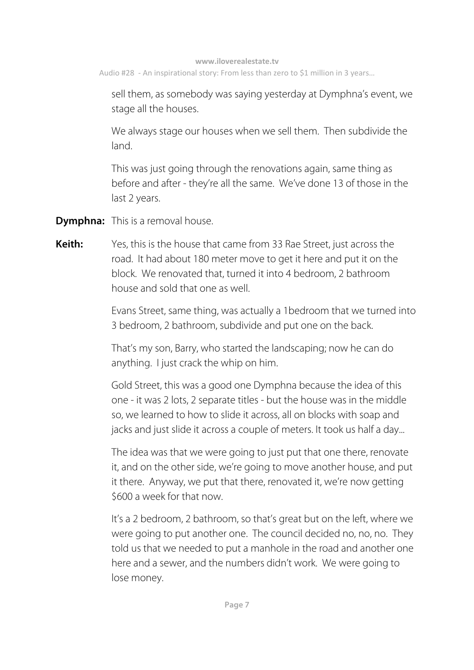sell them, as somebody was saying yesterday at Dymphna's event, we stage all the houses.

 We always stage our houses when we sell them. Then subdivide the land.

 This was just going through the renovations again, same thing as before and after - they're all the same. We've done 13 of those in the last 2 years.

**Dymphna:** This is a removal house.

**Keith:** Yes, this is the house that came from 33 Rae Street, just across the road. It had about 180 meter move to get it here and put it on the block. We renovated that, turned it into 4 bedroom, 2 bathroom house and sold that one as well.

> Evans Street, same thing, was actually a 1bedroom that we turned into 3 bedroom, 2 bathroom, subdivide and put one on the back.

 That's my son, Barry, who started the landscaping; now he can do anything. I just crack the whip on him.

 Gold Street, this was a good one Dymphna because the idea of this one - it was 2 lots, 2 separate titles - but the house was in the middle so, we learned to how to slide it across, all on blocks with soap and jacks and just slide it across a couple of meters. It took us half a day...

The idea was that we were going to just put that one there, renovate it, and on the other side, we're going to move another house, and put it there. Anyway, we put that there, renovated it, we're now getting \$600 a week for that now.

 It's a 2 bedroom, 2 bathroom, so that's great but on the left, where we were going to put another one. The council decided no, no, no. They told us that we needed to put a manhole in the road and another one here and a sewer, and the numbers didn't work. We were going to lose money.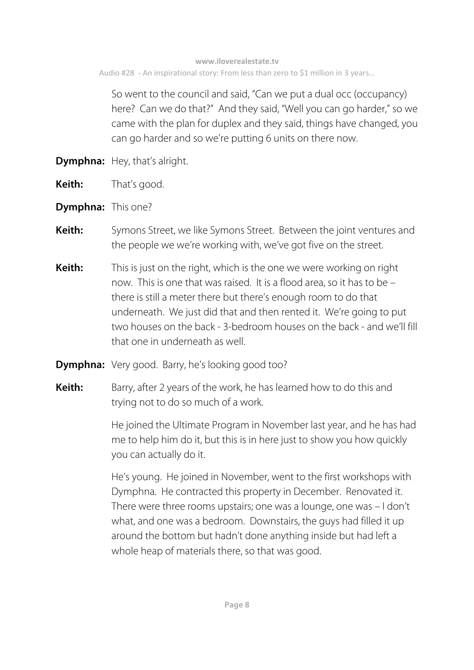So went to the council and said, "Can we put a dual occ (occupancy) here? Can we do that?" And they said, "Well you can go harder," so we came with the plan for duplex and they said, things have changed, you can go harder and so we're putting 6 units on there now.

- **Dymphna:** Hey, that's alright.
- **Keith:** That's good.
- **Dymphna:** This one?
- **Keith:** Symons Street, we like Symons Street. Between the joint ventures and the people we we're working with, we've got five on the street.
- **Keith:** This is just on the right, which is the one we were working on right now. This is one that was raised. It is a flood area, so it has to be – there is still a meter there but there's enough room to do that underneath. We just did that and then rented it. We're going to put two houses on the back - 3-bedroom houses on the back - and we'll fill that one in underneath as well.
- **Dymphna:** Very good. Barry, he's looking good too?
- **Keith:** Barry, after 2 years of the work, he has learned how to do this and trying not to do so much of a work.

 He joined the Ultimate Program in November last year, and he has had me to help him do it, but this is in here just to show you how quickly you can actually do it.

 He's young. He joined in November, went to the first workshops with Dymphna. He contracted this property in December. Renovated it. There were three rooms upstairs; one was a lounge, one was – I don't what, and one was a bedroom. Downstairs, the guys had filled it up around the bottom but hadn't done anything inside but had left a whole heap of materials there, so that was good.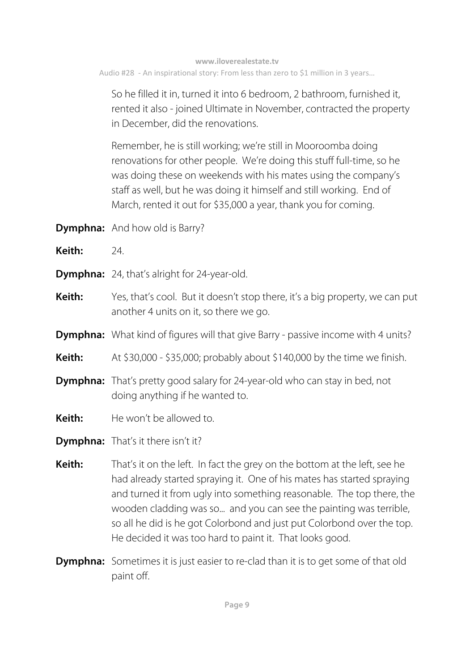So he filled it in, turned it into 6 bedroom, 2 bathroom, furnished it, rented it also - joined Ultimate in November, contracted the property in December, did the renovations.

 Remember, he is still working; we're still in Mooroomba doing renovations for other people. We're doing this stuff full-time, so he was doing these on weekends with his mates using the company's staff as well, but he was doing it himself and still working. End of March, rented it out for \$35,000 a year, thank you for coming.

- **Dymphna:** And how old is Barry?
- **Keith:** 24.
- **Dymphna:** 24, that's alright for 24-year-old.
- **Keith:** Yes, that's cool. But it doesn't stop there, it's a big property, we can put another 4 units on it, so there we go.
- **Dymphna:** What kind of figures will that give Barry passive income with 4 units?
- **Keith:** At \$30,000 \$35,000; probably about \$140,000 by the time we finish.
- **Dymphna:** That's pretty good salary for 24-year-old who can stay in bed, not doing anything if he wanted to.
- **Keith:** He won't be allowed to.
- **Dymphna:** That's it there isn't it?
- **Keith:** That's it on the left. In fact the grey on the bottom at the left, see he had already started spraying it. One of his mates has started spraying and turned it from ugly into something reasonable. The top there, the wooden cladding was so... and you can see the painting was terrible, so all he did is he got Colorbond and just put Colorbond over the top. He decided it was too hard to paint it. That looks good.
- **Dymphna:** Sometimes it is just easier to re-clad than it is to get some of that old paint off.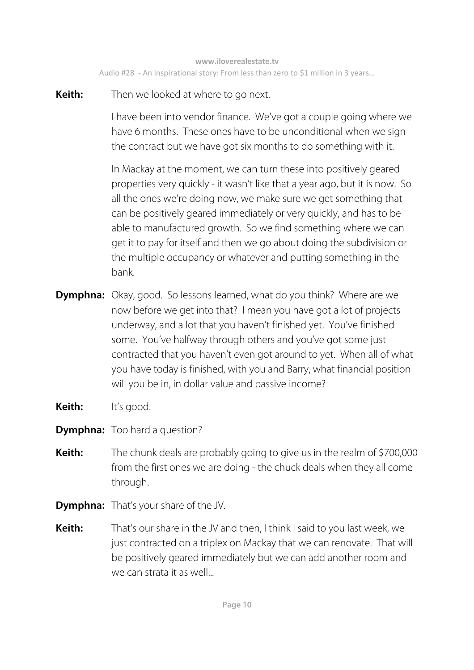**Keith:** Then we looked at where to go next.

I have been into vendor finance. We've got a couple going where we have 6 months. These ones have to be unconditional when we sign the contract but we have got six months to do something with it.

 In Mackay at the moment, we can turn these into positively geared properties very quickly - it wasn't like that a year ago, but it is now. So all the ones we're doing now, we make sure we get something that can be positively geared immediately or very quickly, and has to be able to manufactured growth. So we find something where we can get it to pay for itself and then we go about doing the subdivision or the multiple occupancy or whatever and putting something in the bank.

- **Dymphna:** Okay, good. So lessons learned, what do you think? Where are we now before we get into that? I mean you have got a lot of projects underway, and a lot that you haven't finished yet. You've finished some. You've halfway through others and you've got some just contracted that you haven't even got around to yet. When all of what you have today is finished, with you and Barry, what financial position will you be in, in dollar value and passive income?
- **Keith:** It's good.
- **Dymphna:** Too hard a question?
- **Keith:** The chunk deals are probably going to give us in the realm of \$700,000 from the first ones we are doing - the chuck deals when they all come through.
- **Dymphna:** That's your share of the JV.
- **Keith:** That's our share in the JV and then, I think I said to you last week, we just contracted on a triplex on Mackay that we can renovate. That will be positively geared immediately but we can add another room and we can strata it as well...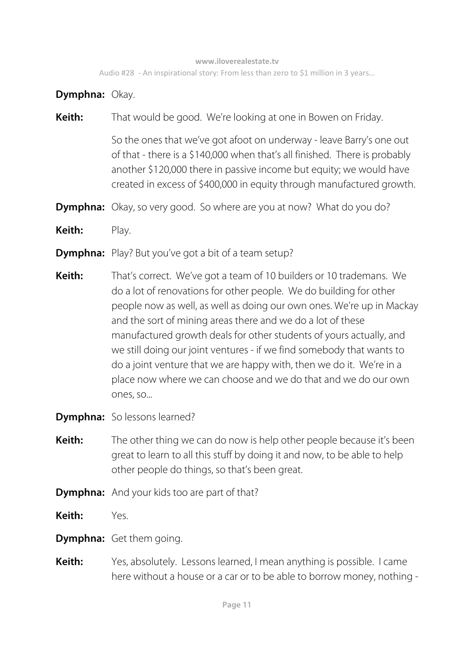**Dymphna:** Okay.

**Keith:** That would be good. We're looking at one in Bowen on Friday.

 So the ones that we've got afoot on underway - leave Barry's one out of that - there is a \$140,000 when that's all finished. There is probably another \$120,000 there in passive income but equity; we would have created in excess of \$400,000 in equity through manufactured growth.

- **Dymphna:** Okay, so very good. So where are you at now? What do you do?
- **Keith:** Play.
- **Dymphna:** Play? But you've got a bit of a team setup?
- **Keith:** That's correct. We've got a team of 10 builders or 10 trademans. We do a lot of renovations for other people. We do building for other people now as well, as well as doing our own ones. We're up in Mackay and the sort of mining areas there and we do a lot of these manufactured growth deals for other students of yours actually, and we still doing our joint ventures - if we find somebody that wants to do a joint venture that we are happy with, then we do it. We're in a place now where we can choose and we do that and we do our own ones, so...
- **Dymphna:** So lessons learned?
- **Keith:** The other thing we can do now is help other people because it's been great to learn to all this stuff by doing it and now, to be able to help other people do things, so that's been great.
- **Dymphna:** And your kids too are part of that?
- **Keith:** Yes.
- **Dymphna:** Get them going.
- **Keith:** Yes, absolutely. Lessons learned, I mean anything is possible. I came here without a house or a car or to be able to borrow money, nothing -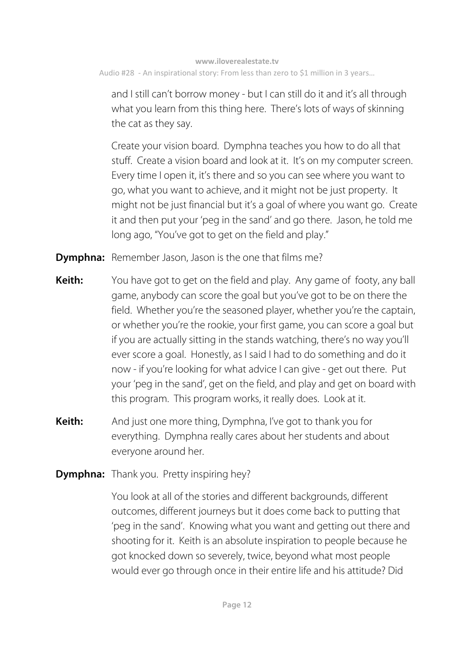and I still can't borrow money - but I can still do it and it's all through what you learn from this thing here. There's lots of ways of skinning the cat as they say.

 Create your vision board. Dymphna teaches you how to do all that stuff. Create a vision board and look at it. It's on my computer screen. Every time I open it, it's there and so you can see where you want to go, what you want to achieve, and it might not be just property. It might not be just financial but it's a goal of where you want go. Create it and then put your 'peg in the sand' and go there. Jason, he told me long ago, "You've got to get on the field and play."

**Dymphna:** Remember Jason, Jason is the one that films me?

- **Keith:** You have got to get on the field and play. Any game of footy, any ball game, anybody can score the goal but you've got to be on there the field. Whether you're the seasoned player, whether you're the captain, or whether you're the rookie, your first game, you can score a goal but if you are actually sitting in the stands watching, there's no way you'll ever score a goal. Honestly, as I said I had to do something and do it now - if you're looking for what advice I can give - get out there. Put your 'peg in the sand', get on the field, and play and get on board with this program. This program works, it really does. Look at it.
- **Keith:** And just one more thing, Dymphna, I've got to thank you for everything. Dymphna really cares about her students and about everyone around her.

**Dymphna:** Thank you. Pretty inspiring hey?

You look at all of the stories and different backgrounds, different outcomes, different journeys but it does come back to putting that 'peg in the sand'. Knowing what you want and getting out there and shooting for it. Keith is an absolute inspiration to people because he got knocked down so severely, twice, beyond what most people would ever go through once in their entire life and his attitude? Did